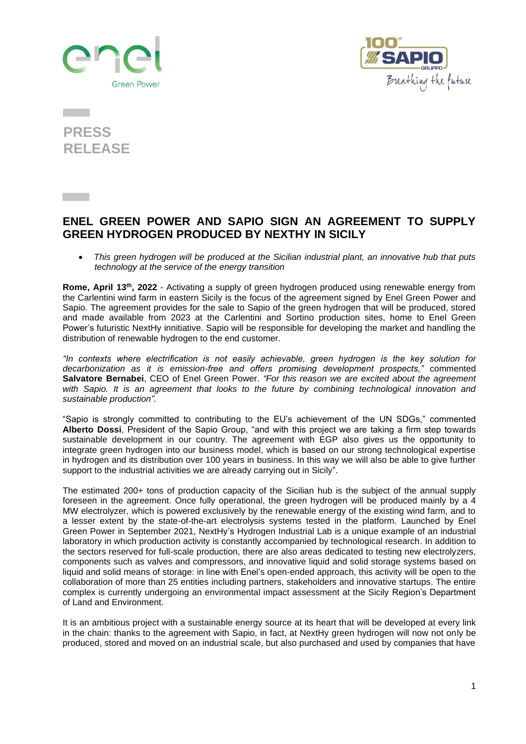



**PRESS RELEASE**

## **ENEL GREEN POWER AND SAPIO SIGN AN AGREEMENT TO SUPPLY GREEN HYDROGEN PRODUCED BY NEXTHY IN SICILY**

• *This green hydrogen will be produced at the Sicilian industrial plant, an innovative hub that puts technology at the service of the energy transition*

**Rome, April 13th, 2022** - Activating a supply of green hydrogen produced using renewable energy from the Carlentini wind farm in eastern Sicily is the focus of the agreement signed by Enel Green Power and Sapio. The agreement provides for the sale to Sapio of the green hydrogen that will be produced, stored and made available from 2023 at the Carlentini and Sortino production sites, home to Enel Green Power's futuristic NextHy innitiative. Sapio will be responsible for developing the market and handling the distribution of renewable hydrogen to the end customer.

*"In contexts where electrification is not easily achievable, green hydrogen is the key solution for decarbonization as it is emission-free and offers promising development prospects,"* commented **Salvatore Bernabei**, CEO of Enel Green Power. *"For this reason we are excited about the agreement with Sapio. It is an agreement that looks to the future by combining technological innovation and sustainable production".*

"Sapio is strongly committed to contributing to the EU's achievement of the UN SDGs," commented **Alberto Dossi**, President of the Sapio Group, "and with this project we are taking a firm step towards sustainable development in our country. The agreement with EGP also gives us the opportunity to integrate green hydrogen into our business model, which is based on our strong technological expertise in hydrogen and its distribution over 100 years in business. In this way we will also be able to give further support to the industrial activities we are already carrying out in Sicily".

The estimated 200+ tons of production capacity of the Sicilian hub is the subject of the annual supply foreseen in the agreement. Once fully operational, the green hydrogen will be produced mainly by a 4 MW electrolyzer, which is powered exclusively by the renewable energy of the existing wind farm, and to a lesser extent by the state-of-the-art electrolysis systems tested in the platform. Launched by Enel Green Power in September 2021, NextHy's Hydrogen Industrial Lab is a unique example of an industrial laboratory in which production activity is constantly accompanied by technological research. In addition to the sectors reserved for full-scale production, there are also areas dedicated to testing new electrolyzers, components such as valves and compressors, and innovative liquid and solid storage systems based on liquid and solid means of storage: in line with Enel's open-ended approach, this activity will be open to the collaboration of more than 25 entities including partners, stakeholders and innovative startups. The entire complex is currently undergoing an environmental impact assessment at the Sicily Region's Department of Land and Environment.

It is an ambitious project with a sustainable energy source at its heart that will be developed at every link in the chain: thanks to the agreement with Sapio, in fact, at NextHy green hydrogen will now not only be produced, stored and moved on an industrial scale, but also purchased and used by companies that have